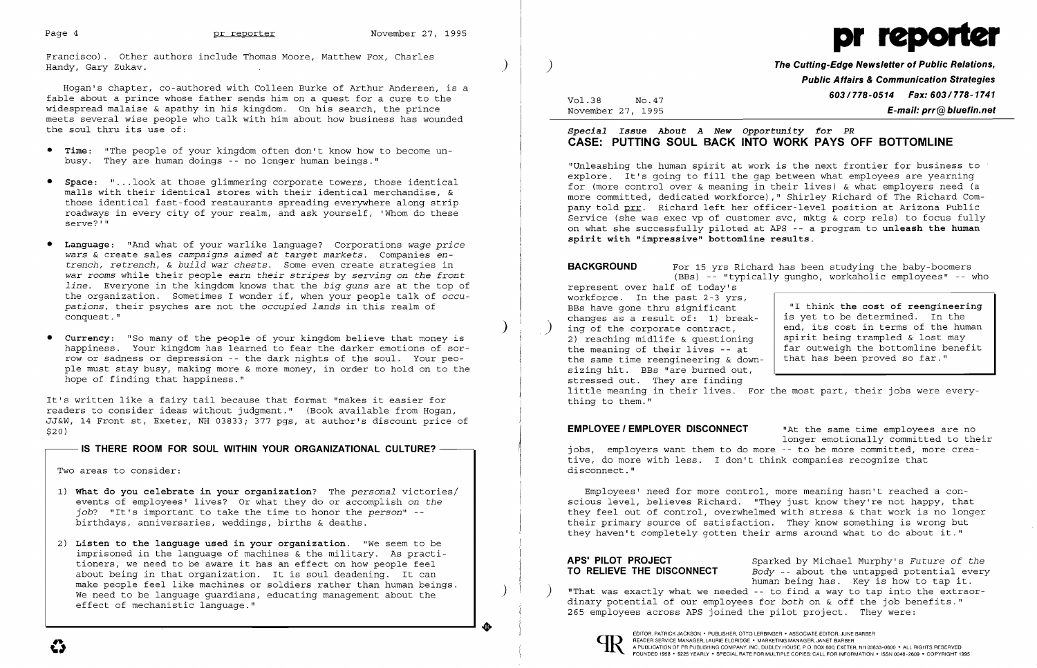$\big)$ 

 $\big)$ 

Francisco). Other authors include Thomas Moore, Matthew Fox, Charles Handy, Gary Zukav.

Hogan's chapter, co-authored with Colleen Burke of Arthur Andersen, is a fable about a prince whose father sends him on a quest for a cure to the widespread malaise & apathy in his kingdom. On his search, the prince meets several wise people who talk with him about how business has wounded the soul thru its use of:

- **• Time:** "The people of your kingdom often don't know how to become un busy. They are human doings -- no longer human beings."
- **• Space:** " ... look at those glimmering corporate towers, those identical malls with their identical stores with their identical merchandise, & those identical fast-food restaurants spreading everywhere along strip roadways in every city of your realm, and ask yourself, 'Whom do these serve?'"
- **• Language:** "And what of your warlike language? Corporations *wage price wars* & create sales *campaigns aimed* at *target markets.* Companies *entrench, retrench,* & *build war chests.* Some even create strategies in *war rooms* while their people *earn their stripes* by *serving* on *the front line.* Everyone in the kingdom knows that the *big guns* are at the top of the organization. Sometimes I wonder if, when your people talk of *occupations,* their psyches are not the *occupied lands* in this realm of conquest."
- **• Currency:** "So many of the people of your kingdom believe that money is happiness. Your kingdom has learned to fear the darker emotions of sorrow or sadness or depression -- the dark nights of the soul. Your people must stay busy, making more & more money, in order to hold on to the hope of finding that happiness."

Vol.38 November 27, 1995  $No.47$ 

It's written like a fairy tail because that format "makes it easier for readers to consider ideas without judgment." (Book available from Hogan, JJ&W, 14 Front st, Exeter, NH 03833; 377 pgs, at author's discount price of \$20)

IS THERE ROOM FOR SOUL WITHIN YOUR ORGANIZATIONAL CULTURE? -

Two areas to consider:

**EMPLOYEE / EMPLOYER DISCONNECT** That the same time employees are no longer emotionally committed to their jobs, employers want them to do more -- to be more committed, more creative, do more with less. I don't think companies recognize that disconnect."

- 1) **What do you celebrate in your organization?** The *personal* victories/ events of employees' lives? Or what they do or accomplish on *the job?* "It's important to take the time to honor the *person"*  birthdays, anniversaries, weddings, births & deaths.
- 2) **Listen to the language used in your organization.** "We seem to be imprisoned in the language of machines & the military. As practitioners, we need to be aware it has an effect on how people feel about being in that organization. It is soul deadening. It can make people feel like machines or soldiers rather than human beings. We need to be language guardians, educating management about the effect of mechanistic language."

**•** 

)

..



# ) **The Cutting-Edge Newsletter of Public Relations, Public Affairs & Communication Strategies 603/778-0514 Fax: 603/778-1741 E-mail: prr@bluefin.net**

## *Special Issue About A New Opportunity for PR*  **CASE: PUTTING SOUL BACK INTO WORK PAYS OFF BOTTOMLINE**

"Unleashing the human spirit at work is the next frontier for business to explore. It's going to fill the gap between what employees are yearning for (more control over & meaning in their lives) & what employers need (a more committed, dedicated workforce)," Shirley Richard of The Richard Company told prr. Richard left her officer-level position at Arizona Public Service (she was exec vp of customer svc, mktg & corp rels) to focus fully on what she successfully piloted at APS -- a program to **unleash the human spirit with "impressive" bottomline results.** 

**BACKGROUND** For 15 yrs Richard has been studying the baby-boomers (BBs) -- "typically gungho, workaholic employees" -- who represent over half of today's workforce. In the past 2-3 yrs,<br>BBs have gone thru significant BBs have gone thru significant  $\begin{array}{c|c} \text{I} & \text{I} & \text{I} \\ \text{I} & \text{I} & \text{I} \\ \text{I} & \text{I} & \text{I} \end{array}$  and  $\begin{array}{c|c} \text{I} & \text{I} & \text{I} \\ \text{I} & \text{I} & \text{I} \\ \text{I} & \text{I} & \text{I} \end{array}$  is yet to be determined. In the changes as a result of: 1) break- is yet to be determined. In the ing of the corporate contract, end, its cost in terms of the human<br>spirit being trampled & lost may 2) reaching midlife & questioning<br>the meaning of their lives -- at far outweigh the bottomline benefit<br>that has been proved so far." the same time reengineering  $\&$  downsizing hit. BBs "are burned out, stressed out. They are finding little meaning in their lives. For the most part, their jobs were everything to them."

Employees' need for more control, more meaning hasn't reached a conscious level, believes Richard. "They just know they're not happy, that they feel out of control, overwhelmed with stress & that work is no longer their primary source of satisfaction. They know something is wrong but they haven't completely gotten their arms around what to do about it."

**APS' PILOT PROJECT** Sparked by Michael Murphy's *Future* of *the*  Body -- about the untapped potential every human being has. Key is how to tap it. "That was exactly what we needed -- to find a way to tap into the extraordinary potential of our employees for *both* on & off the job benefits." 265 employees across APS joined the pilot project. They were:



EDITOR. PATRICK JACKSON· PUBLISHER, OTTO LERBINGER • ASSOCIATE EDITOR, JUNE BARBER